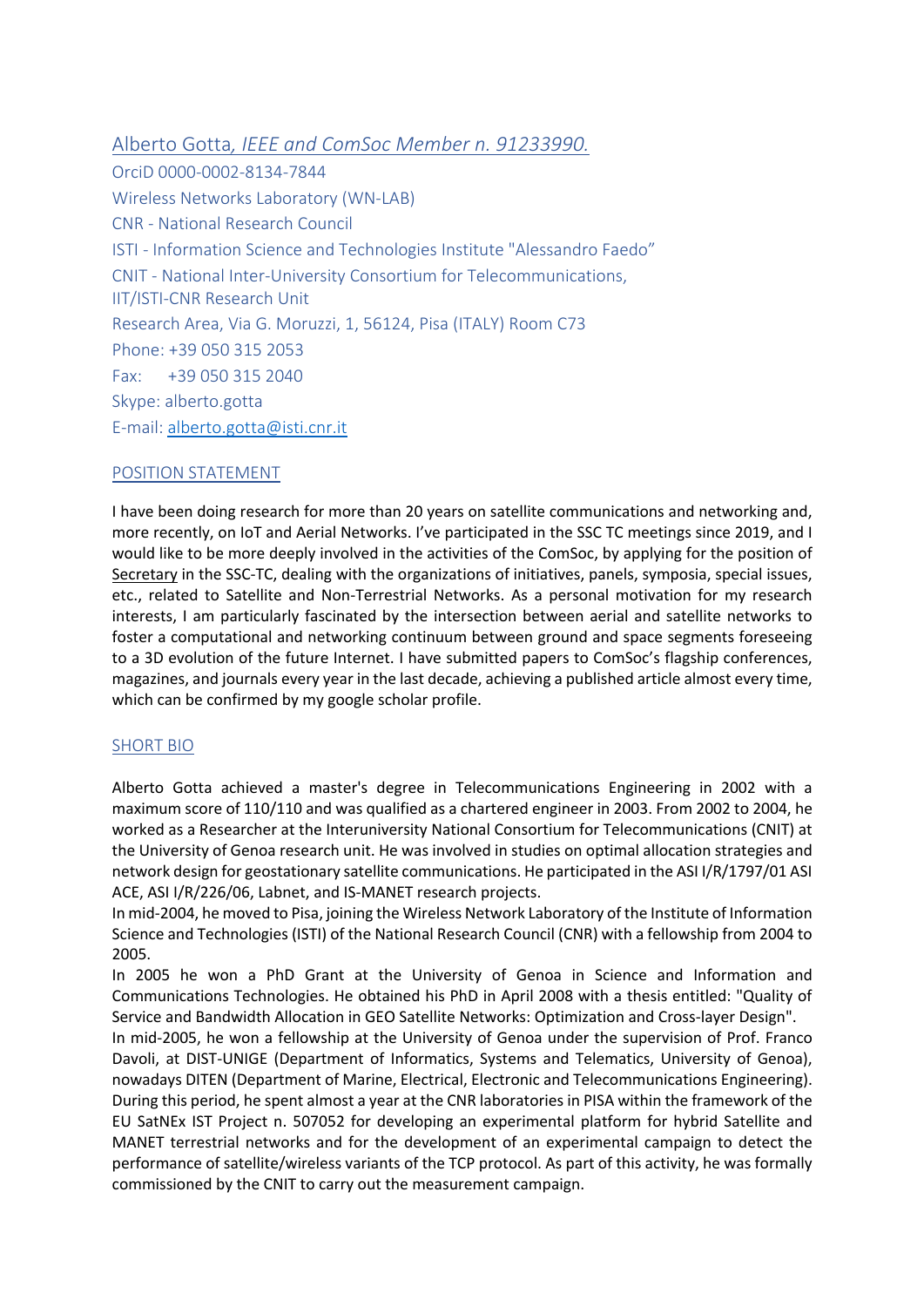Alberto Gotta*, IEEE and ComSoc Member n. 91233990.* OrciD 0000-0002-8134-7844 Wireless Networks Laboratory (WN-LAB) CNR - National Research Council ISTI - Information Science and Technologies Institute "Alessandro Faedo" CNIT - National Inter-University Consortium for Telecommunications, IIT/ISTI-CNR Research Unit Research Area, Via G. Moruzzi, 1, 56124, Pisa (ITALY) Room C73 Phone: +39 050 315 2053 Fax: +39 050 315 2040 Skype: alberto.gotta E-mail: alberto.gotta@isti.cnr.it

### POSITION STATEMENT

I have been doing research for more than 20 years on satellite communications and networking and, more recently, on IoT and Aerial Networks. I've participated in the SSC TC meetings since 2019, and I would like to be more deeply involved in the activities of the ComSoc, by applying for the position of Secretary in the SSC-TC, dealing with the organizations of initiatives, panels, symposia, special issues, etc., related to Satellite and Non-Terrestrial Networks. As a personal motivation for my research interests, I am particularly fascinated by the intersection between aerial and satellite networks to foster a computational and networking continuum between ground and space segments foreseeing to a 3D evolution of the future Internet. I have submitted papers to ComSoc's flagship conferences, magazines, and journals every year in the last decade, achieving a published article almost every time, which can be confirmed by my google scholar profile.

### SHORT BIO

Alberto Gotta achieved a master's degree in Telecommunications Engineering in 2002 with a maximum score of 110/110 and was qualified as a chartered engineer in 2003. From 2002 to 2004, he worked as a Researcher at the Interuniversity National Consortium for Telecommunications (CNIT) at the University of Genoa research unit. He was involved in studies on optimal allocation strategies and network design for geostationary satellite communications. He participated in the ASI I/R/1797/01 ASI ACE, ASI I/R/226/06, Labnet, and IS-MANET research projects.

In mid-2004, he moved to Pisa, joining the Wireless Network Laboratory of the Institute of Information Science and Technologies (ISTI) of the National Research Council (CNR) with a fellowship from 2004 to 2005.

In 2005 he won a PhD Grant at the University of Genoa in Science and Information and Communications Technologies. He obtained his PhD in April 2008 with a thesis entitled: "Quality of Service and Bandwidth Allocation in GEO Satellite Networks: Optimization and Cross-layer Design".

In mid-2005, he won a fellowship at the University of Genoa under the supervision of Prof. Franco Davoli, at DIST-UNIGE (Department of Informatics, Systems and Telematics, University of Genoa), nowadays DITEN (Department of Marine, Electrical, Electronic and Telecommunications Engineering). During this period, he spent almost a year at the CNR laboratories in PISA within the framework of the EU SatNEx IST Project n. 507052 for developing an experimental platform for hybrid Satellite and MANET terrestrial networks and for the development of an experimental campaign to detect the performance of satellite/wireless variants of the TCP protocol. As part of this activity, he was formally commissioned by the CNIT to carry out the measurement campaign.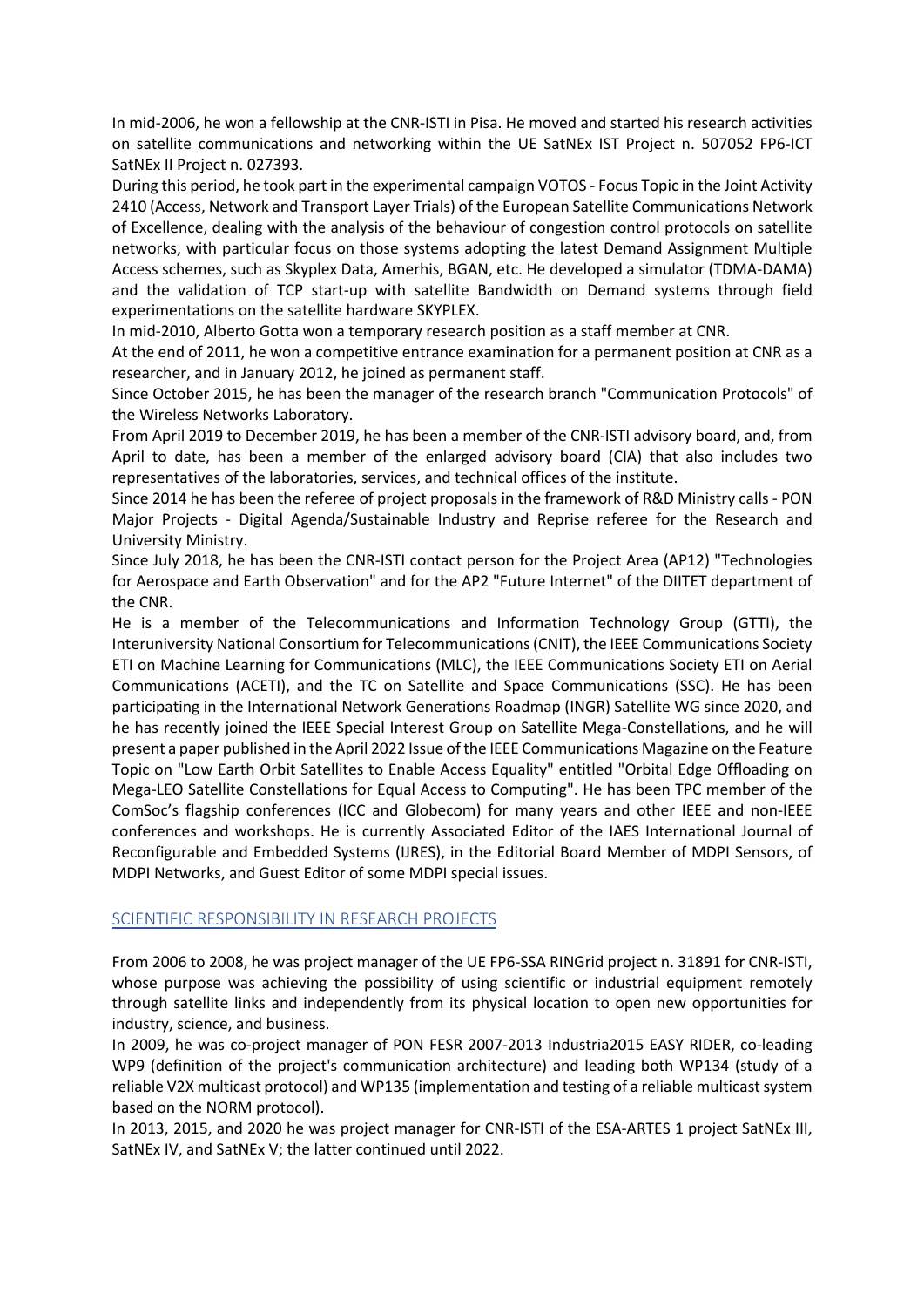In mid-2006, he won a fellowship at the CNR-ISTI in Pisa. He moved and started his research activities on satellite communications and networking within the UE SatNEx IST Project n. 507052 FP6-ICT SatNEx II Project n. 027393.

During this period, he took part in the experimental campaign VOTOS - Focus Topic in the Joint Activity 2410 (Access, Network and Transport Layer Trials) of the European Satellite Communications Network of Excellence, dealing with the analysis of the behaviour of congestion control protocols on satellite networks, with particular focus on those systems adopting the latest Demand Assignment Multiple Access schemes, such as Skyplex Data, Amerhis, BGAN, etc. He developed a simulator (TDMA-DAMA) and the validation of TCP start-up with satellite Bandwidth on Demand systems through field experimentations on the satellite hardware SKYPLEX.

In mid-2010, Alberto Gotta won a temporary research position as a staff member at CNR.

At the end of 2011, he won a competitive entrance examination for a permanent position at CNR as a researcher, and in January 2012, he joined as permanent staff.

Since October 2015, he has been the manager of the research branch "Communication Protocols" of the Wireless Networks Laboratory.

From April 2019 to December 2019, he has been a member of the CNR-ISTI advisory board, and, from April to date, has been a member of the enlarged advisory board (CIA) that also includes two representatives of the laboratories, services, and technical offices of the institute.

Since 2014 he has been the referee of project proposals in the framework of R&D Ministry calls - PON Major Projects - Digital Agenda/Sustainable Industry and Reprise referee for the Research and University Ministry.

Since July 2018, he has been the CNR-ISTI contact person for the Project Area (AP12) "Technologies for Aerospace and Earth Observation" and for the AP2 "Future Internet" of the DIITET department of the CNR.

He is a member of the Telecommunications and Information Technology Group (GTTI), the Interuniversity National Consortium for Telecommunications (CNIT), the IEEE Communications Society ETI on Machine Learning for Communications (MLC), the IEEE Communications Society ETI on Aerial Communications (ACETI), and the TC on Satellite and Space Communications (SSC). He has been participating in the International Network Generations Roadmap (INGR) Satellite WG since 2020, and he has recently joined the IEEE Special Interest Group on Satellite Mega-Constellations, and he will present a paper published in the April 2022 Issue of the IEEE Communications Magazine on the Feature Topic on "Low Earth Orbit Satellites to Enable Access Equality" entitled "Orbital Edge Offloading on Mega-LEO Satellite Constellations for Equal Access to Computing". He has been TPC member of the ComSoc's flagship conferences (ICC and Globecom) for many years and other IEEE and non-IEEE conferences and workshops. He is currently Associated Editor of the IAES International Journal of Reconfigurable and Embedded Systems (IJRES), in the Editorial Board Member of MDPI Sensors, of MDPI Networks, and Guest Editor of some MDPI special issues.

# SCIENTIFIC RESPONSIBILITY IN RESEARCH PROJECTS

From 2006 to 2008, he was project manager of the UE FP6-SSA RINGrid project n. 31891 for CNR-ISTI, whose purpose was achieving the possibility of using scientific or industrial equipment remotely through satellite links and independently from its physical location to open new opportunities for industry, science, and business.

In 2009, he was co-project manager of PON FESR 2007-2013 Industria2015 EASY RIDER, co-leading WP9 (definition of the project's communication architecture) and leading both WP134 (study of a reliable V2X multicast protocol) and WP135 (implementation and testing of a reliable multicast system based on the NORM protocol).

In 2013, 2015, and 2020 he was project manager for CNR-ISTI of the ESA-ARTES 1 project SatNEx III, SatNEx IV, and SatNEx V; the latter continued until 2022.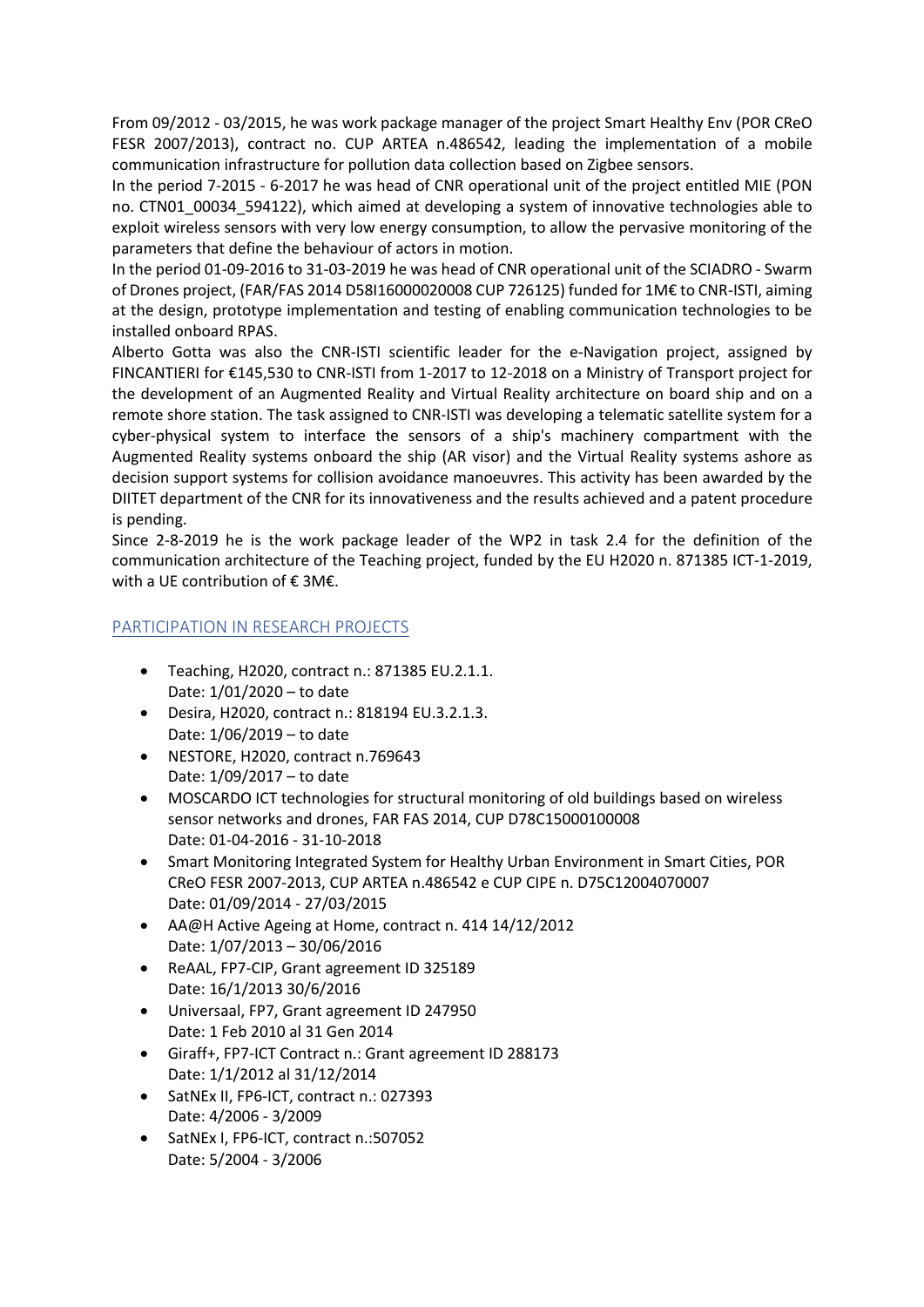From 09/2012 - 03/2015, he was work package manager of the project Smart Healthy Env (POR CReO FESR 2007/2013), contract no. CUP ARTEA n.486542, leading the implementation of a mobile communication infrastructure for pollution data collection based on Zigbee sensors.

In the period 7-2015 - 6-2017 he was head of CNR operational unit of the project entitled MIE (PON no. CTN01\_00034\_594122), which aimed at developing a system of innovative technologies able to exploit wireless sensors with very low energy consumption, to allow the pervasive monitoring of the parameters that define the behaviour of actors in motion.

In the period 01-09-2016 to 31-03-2019 he was head of CNR operational unit of the SCIADRO - Swarm of Drones project, (FAR/FAS 2014 D58I16000020008 CUP 726125) funded for 1M€ to CNR-ISTI, aiming at the design, prototype implementation and testing of enabling communication technologies to be installed onboard RPAS.

Alberto Gotta was also the CNR-ISTI scientific leader for the e-Navigation project, assigned by FINCANTIERI for €145,530 to CNR-ISTI from 1-2017 to 12-2018 on a Ministry of Transport project for the development of an Augmented Reality and Virtual Reality architecture on board ship and on a remote shore station. The task assigned to CNR-ISTI was developing a telematic satellite system for a cyber-physical system to interface the sensors of a ship's machinery compartment with the Augmented Reality systems onboard the ship (AR visor) and the Virtual Reality systems ashore as decision support systems for collision avoidance manoeuvres. This activity has been awarded by the DIITET department of the CNR for its innovativeness and the results achieved and a patent procedure is pending.

Since 2-8-2019 he is the work package leader of the WP2 in task 2.4 for the definition of the communication architecture of the Teaching project, funded by the EU H2020 n. 871385 ICT-1-2019, with a UE contribution of € 3M€.

# PARTICIPATION IN RESEARCH PROJECTS

- Teaching, H2020, contract n.: 871385 EU.2.1.1. Date: 1/01/2020 – to date
- Desira, H2020, contract n.: 818194 EU.3.2.1.3. Date: 1/06/2019 – to date
- NESTORE, H2020, contract n.769643 Date: 1/09/2017 – to date
- MOSCARDO ICT technologies for structural monitoring of old buildings based on wireless sensor networks and drones, FAR FAS 2014, CUP D78C15000100008 Date: 01-04-2016 - 31-10-2018
- Smart Monitoring Integrated System for Healthy Urban Environment in Smart Cities, POR CReO FESR 2007-2013, CUP ARTEA n.486542 e CUP CIPE n. D75C12004070007 Date: 01/09/2014 - 27/03/2015
- AA@H Active Ageing at Home, contract n. 414 14/12/2012 Date: 1/07/2013 – 30/06/2016
- ReAAL, FP7-CIP, Grant agreement ID 325189 Date: 16/1/2013 30/6/2016
- Universaal, FP7, Grant agreement ID 247950 Date: 1 Feb 2010 al 31 Gen 2014
- Giraff+, FP7-ICT Contract n.: Grant agreement ID 288173 Date: 1/1/2012 al 31/12/2014
- SatNEx II, FP6-ICT, contract n.: 027393 Date: 4/2006 - 3/2009
- SatNEx I, FP6-ICT, contract n.:507052 Date: 5/2004 - 3/2006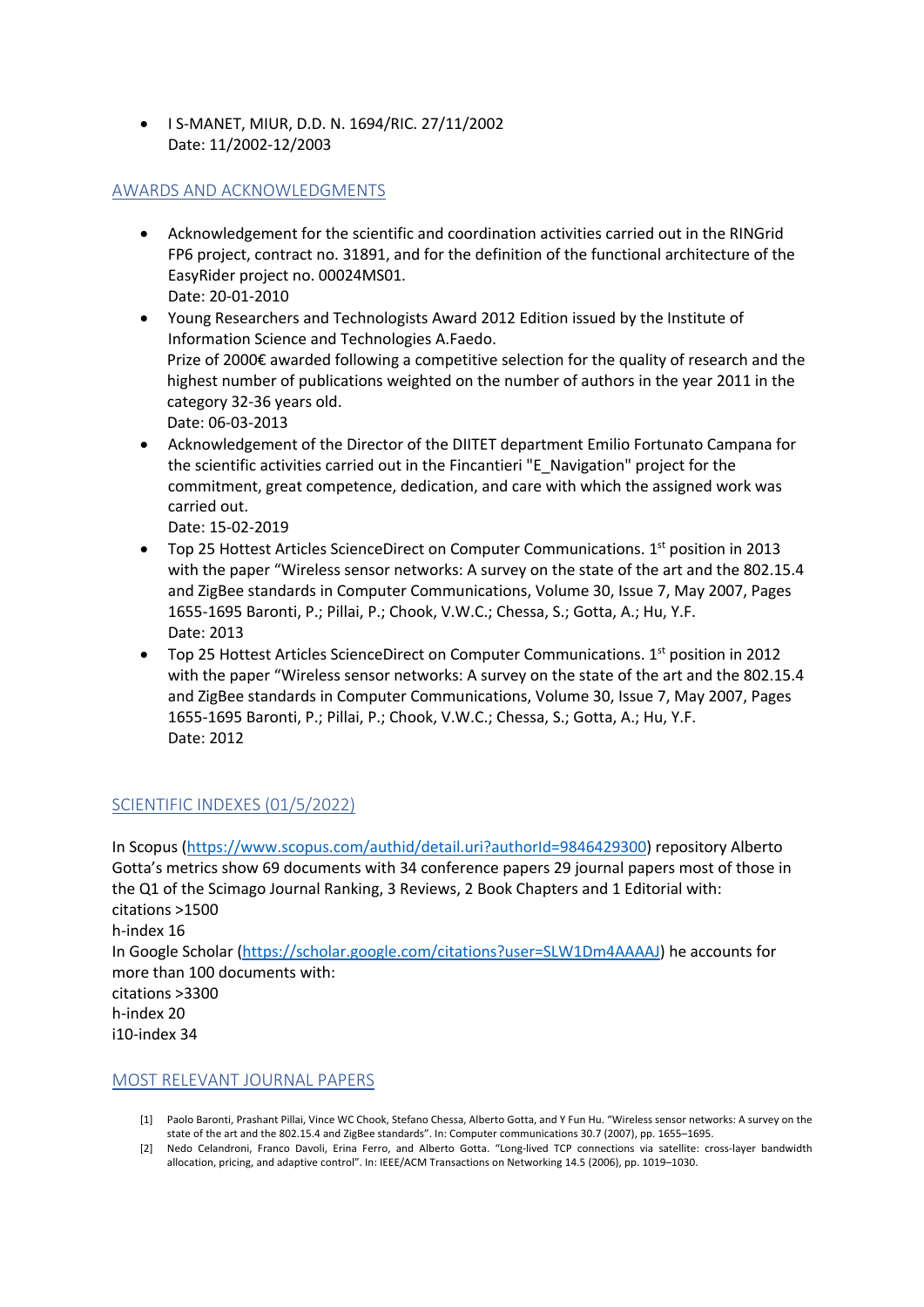• I S-MANET, MIUR, D.D. N. 1694/RIC. 27/11/2002 Date: 11/2002-12/2003

### AWARDS AND ACKNOWLEDGMENTS

- Acknowledgement for the scientific and coordination activities carried out in the RINGrid FP6 project, contract no. 31891, and for the definition of the functional architecture of the EasyRider project no. 00024MS01. Date: 20-01-2010
- Young Researchers and Technologists Award 2012 Edition issued by the Institute of Information Science and Technologies A.Faedo. Prize of 2000€ awarded following a competitive selection for the quality of research and the highest number of publications weighted on the number of authors in the year 2011 in the category 32-36 years old. Date: 06-03-2013
- Acknowledgement of the Director of the DIITET department Emilio Fortunato Campana for the scientific activities carried out in the Fincantieri "E\_Navigation" project for the commitment, great competence, dedication, and care with which the assigned work was carried out.

Date: 15-02-2019

- Top 25 Hottest Articles ScienceDirect on Computer Communications.  $1<sup>st</sup>$  position in 2013 with the paper "Wireless sensor networks: A survey on the state of the art and the 802.15.4 and ZigBee standards in Computer Communications, Volume 30, Issue 7, May 2007, Pages 1655-1695 Baronti, P.; Pillai, P.; Chook, V.W.C.; Chessa, S.; Gotta, A.; Hu, Y.F. Date: 2013
- Top 25 Hottest Articles ScienceDirect on Computer Communications.  $1<sup>st</sup>$  position in 2012 with the paper "Wireless sensor networks: A survey on the state of the art and the 802.15.4 and ZigBee standards in Computer Communications, Volume 30, Issue 7, May 2007, Pages 1655-1695 Baronti, P.; Pillai, P.; Chook, V.W.C.; Chessa, S.; Gotta, A.; Hu, Y.F. Date: 2012

# SCIENTIFIC INDEXES (01/5/2022)

In Scopus (https://www.scopus.com/authid/detail.uri?authorId=9846429300) repository Alberto Gotta's metrics show 69 documents with 34 conference papers 29 journal papers most of those in the Q1 of the Scimago Journal Ranking, 3 Reviews, 2 Book Chapters and 1 Editorial with: citations >1500 h-index 16

In Google Scholar (https://scholar.google.com/citations?user=SLW1Dm4AAAAJ) he accounts for more than 100 documents with:

citations >3300 h-index 20 i10-index 34

### MOST RELEVANT JOURNAL PAPERS

- [1] Paolo Baronti, Prashant Pillai, Vince WC Chook, Stefano Chessa, Alberto Gotta, and Y Fun Hu. "Wireless sensor networks: A survey on the state of the art and the 802.15.4 and ZigBee standards". In: Computer communications 30.7 (2007), pp. 1655–1695.
- [2] Nedo Celandroni, Franco Davoli, Erina Ferro, and Alberto Gotta. "Long-lived TCP connections via satellite: cross-layer bandwidth allocation, pricing, and adaptive control". In: IEEE/ACM Transactions on Networking 14.5 (2006), pp. 1019–1030.